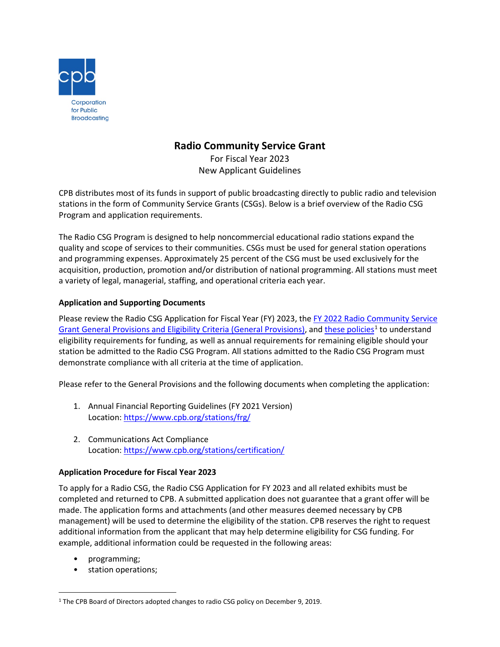

## **Radio Community Service Grant**

For Fiscal Year 2023 New Applicant Guidelines

CPB distributes most of its funds in support of public broadcasting directly to public radio and television stations in the form of Community Service Grants (CSGs). Below is a brief overview of the Radio CSG Program and application requirements.

The Radio CSG Program is designed to help noncommercial educational radio stations expand the quality and scope of services to their communities. CSGs must be used for general station operations and programming expenses. Approximately 25 percent of the CSG must be used exclusively for the acquisition, production, promotion and/or distribution of national programming. All stations must meet a variety of legal, managerial, staffing, and operational criteria each year.

## **Application and Supporting Documents**

Please review the Radio CSG Application for Fiscal Year (FY) 2023, the FY 2022 Radio Community Service [Grant General Provisions and Eligibility Criteria \(General Provisions\),](https://www.cpb.org/stations/grants/radio/generalprovisions/) an[d these policies](https://www.cpb.org/sites/default/files/2019%20Radio%20CSG%20Policy%20Recommendations.pdf)<sup>[1](#page-0-0)</sup> to understand eligibility requirements for funding, as well as annual requirements for remaining eligible should your station be admitted to the Radio CSG Program. All stations admitted to the Radio CSG Program must demonstrate compliance with all criteria at the time of application.

Please refer to the General Provisions and the following documents when completing the application:

- 1. Annual Financial Reporting Guidelines (FY 2021 Version) Location[: https://www.cpb.org/stations/frg/](https://www.cpb.org/stations/frg/)
- 2. Communications Act Compliance Location[: https://www.cpb.org/stations/certification/](https://www.cpb.org/stations/certification/)

## **Application Procedure for Fiscal Year 2023**

To apply for a Radio CSG, the Radio CSG Application for FY 2023 and all related exhibits must be completed and returned to CPB. A submitted application does not guarantee that a grant offer will be made. The application forms and attachments (and other measures deemed necessary by CPB management) will be used to determine the eligibility of the station. CPB reserves the right to request additional information from the applicant that may help determine eligibility for CSG funding. For example, additional information could be requested in the following areas:

- programming;
- station operations;

<span id="page-0-0"></span><sup>&</sup>lt;sup>1</sup> The CPB Board of Directors adopted changes to radio CSG policy on December 9, 2019.